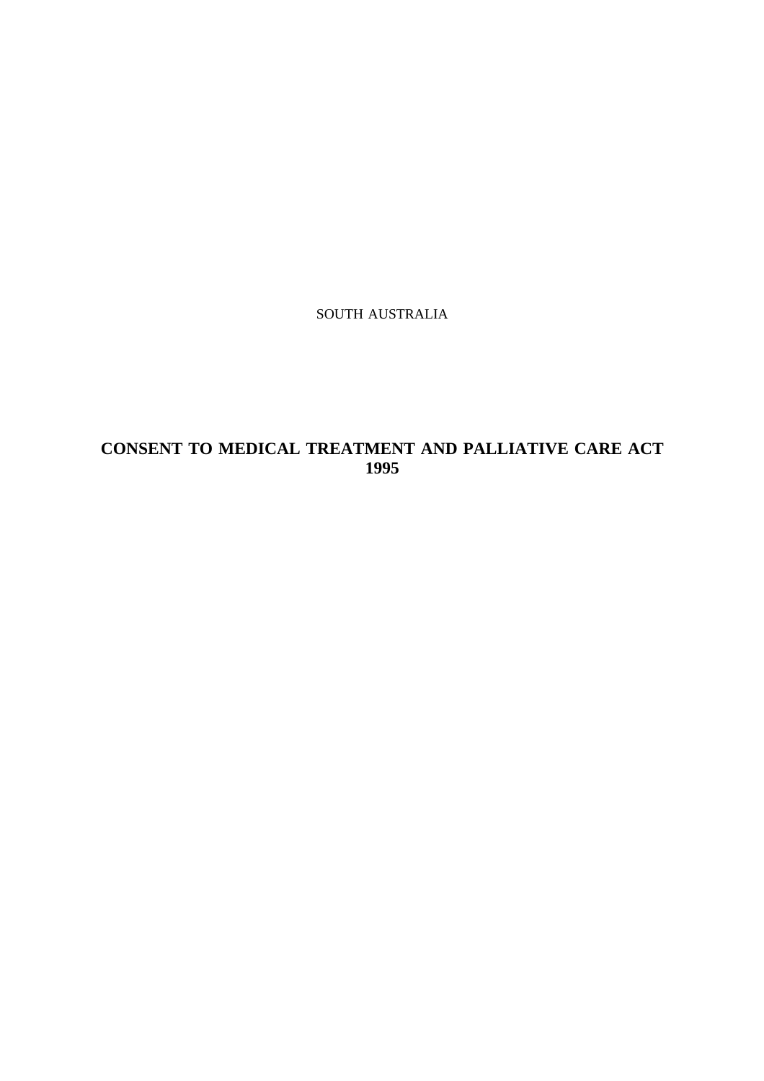SOUTH AUSTRALIA

# **CONSENT TO MEDICAL TREATMENT AND PALLIATIVE CARE ACT 1995**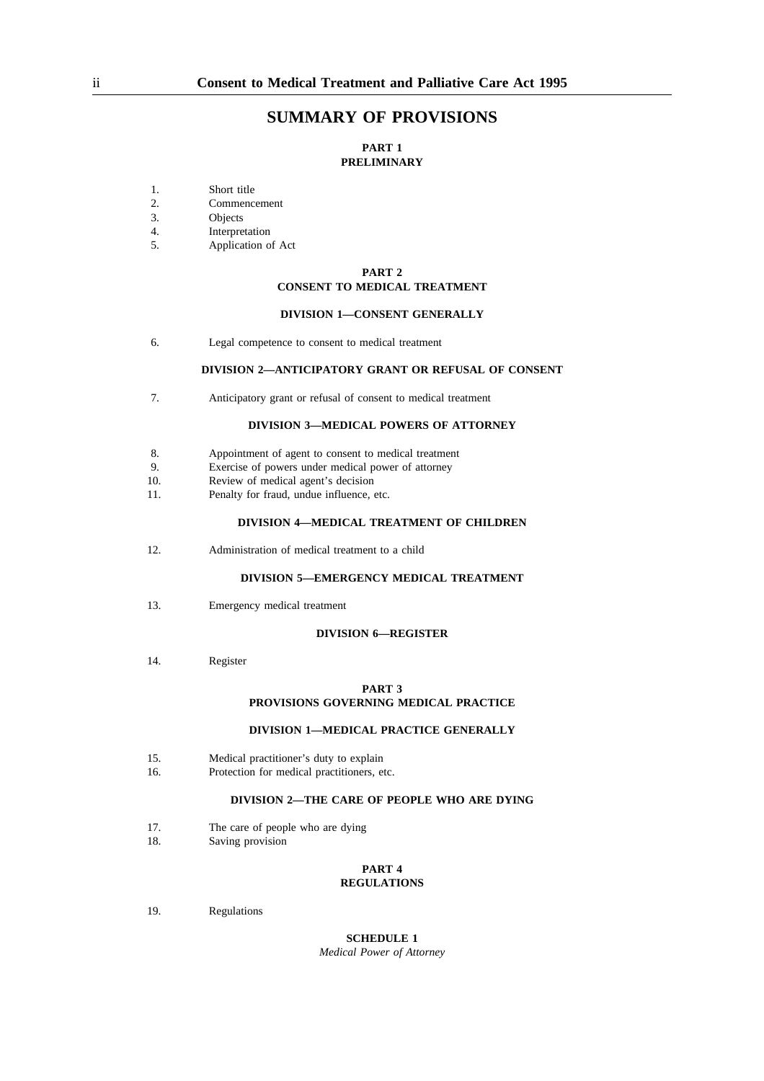## **SUMMARY OF PROVISIONS**

### **PART 1 PRELIMINARY**

- 1. Short title<br>2. Commenc
- 2. Commencement<br>3. Objects
- **Objects**
- 4. Interpretation<br>5. Application of
- Application of Act

### **PART 2 CONSENT TO MEDICAL TREATMENT**

#### **DIVISION 1—CONSENT GENERALLY**

6. Legal competence to consent to medical treatment

#### **DIVISION 2—ANTICIPATORY GRANT OR REFUSAL OF CONSENT**

7. Anticipatory grant or refusal of consent to medical treatment

#### **DIVISION 3—MEDICAL POWERS OF ATTORNEY**

- 8. Appointment of agent to consent to medical treatment
- 9. Exercise of powers under medical power of attorney
- 10. Review of medical agent's decision
- 11. Penalty for fraud, undue influence, etc.

#### **DIVISION 4—MEDICAL TREATMENT OF CHILDREN**

12. Administration of medical treatment to a child

#### **DIVISION 5—EMERGENCY MEDICAL TREATMENT**

13. Emergency medical treatment

#### **DIVISION 6—REGISTER**

14. Register

#### **PART 3**

#### **PROVISIONS GOVERNING MEDICAL PRACTICE**

#### **DIVISION 1—MEDICAL PRACTICE GENERALLY**

- 15. Medical practitioner's duty to explain
- 16. Protection for medical practitioners, etc.

#### **DIVISION 2—THE CARE OF PEOPLE WHO ARE DYING**

- 17. The care of people who are dying
- 18. Saving provision

# **PART 4**

# **REGULATIONS**

19. Regulations

#### **SCHEDULE 1** *Medical Power of Attorney*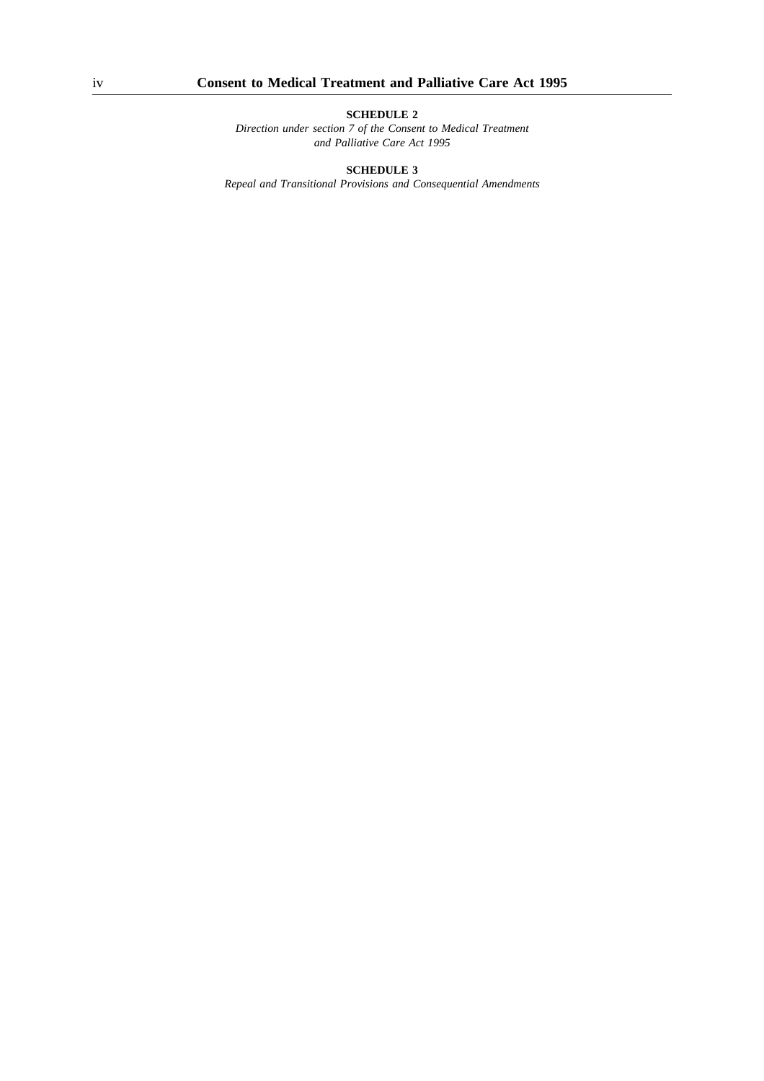*Direction under section 7 of the Consent to Medical Treatment and Palliative Care Act 1995*

**SCHEDULE 3**

*Repeal and Transitional Provisions and Consequential Amendments*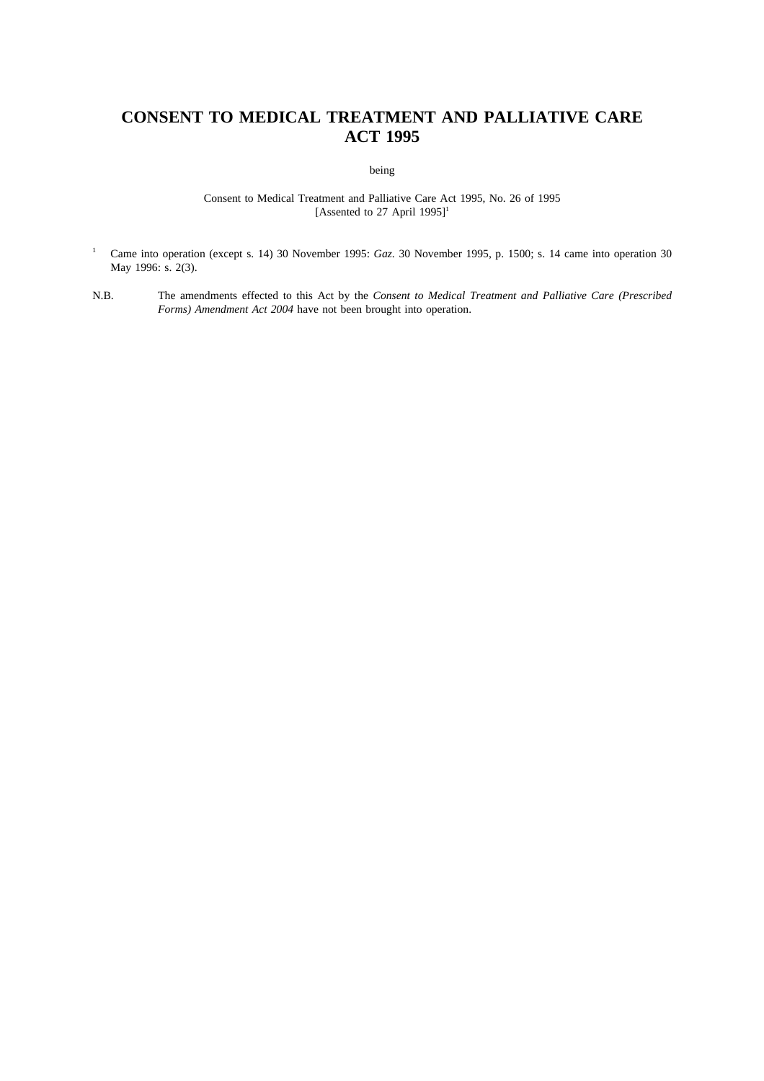# **CONSENT TO MEDICAL TREATMENT AND PALLIATIVE CARE ACT 1995**

being

Consent to Medical Treatment and Palliative Care Act 1995, No. 26 of 1995 [Assented to 27 April 1995]<sup>1</sup>

- <sup>1</sup> Came into operation (except s. 14) 30 November 1995: *Gaz*. 30 November 1995, p. 1500; s. 14 came into operation 30 May 1996: s. 2(3).
- N.B. The amendments effected to this Act by the *Consent to Medical Treatment and Palliative Care (Prescribed Forms) Amendment Act 2004* have not been brought into operation.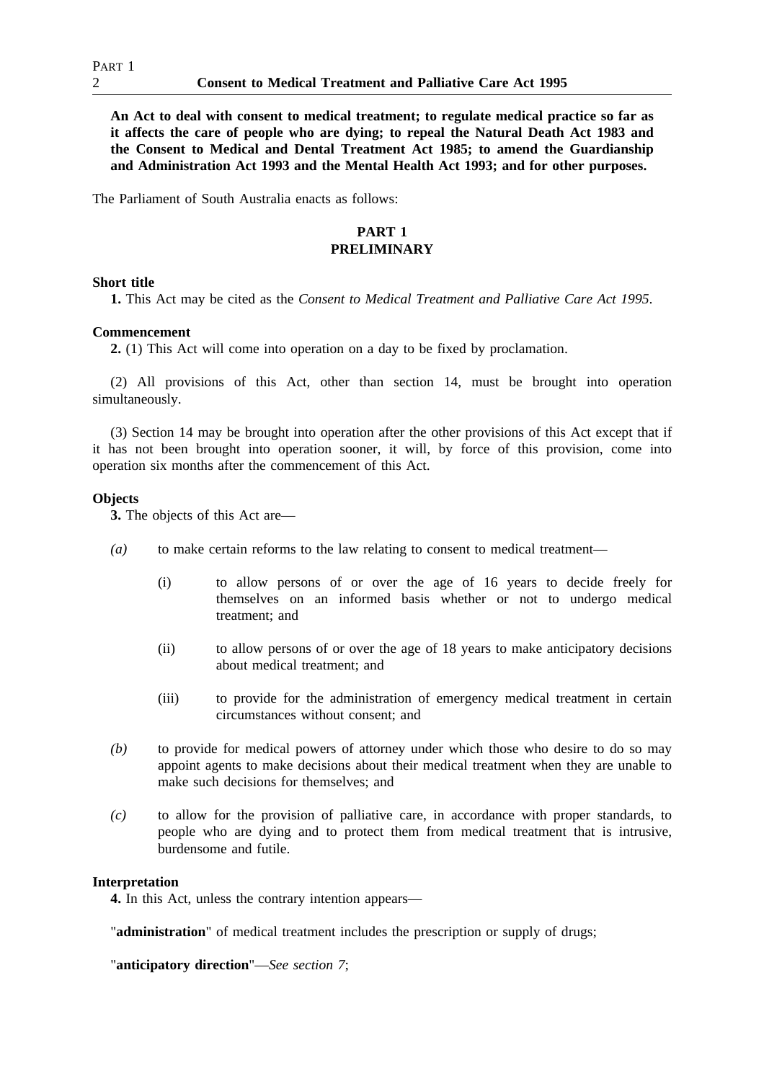**An Act to deal with consent to medical treatment; to regulate medical practice so far as it affects the care of people who are dying; to repeal the Natural Death Act 1983 and the Consent to Medical and Dental Treatment Act 1985; to amend the Guardianship and Administration Act 1993 and the Mental Health Act 1993; and for other purposes.**

The Parliament of South Australia enacts as follows:

#### **PART 1 PRELIMINARY**

### **Short title**

**1.** This Act may be cited as the *Consent to Medical Treatment and Palliative Care Act 1995*.

### **Commencement**

**2.** (1) This Act will come into operation on a day to be fixed by proclamation.

(2) All provisions of this Act, other than section 14, must be brought into operation simultaneously.

(3) Section 14 may be brought into operation after the other provisions of this Act except that if it has not been brought into operation sooner, it will, by force of this provision, come into operation six months after the commencement of this Act.

## **Objects**

**3.** The objects of this Act are—

- *(a)* to make certain reforms to the law relating to consent to medical treatment—
	- (i) to allow persons of or over the age of 16 years to decide freely for themselves on an informed basis whether or not to undergo medical treatment; and
	- (ii) to allow persons of or over the age of 18 years to make anticipatory decisions about medical treatment; and
	- (iii) to provide for the administration of emergency medical treatment in certain circumstances without consent; and
- *(b)* to provide for medical powers of attorney under which those who desire to do so may appoint agents to make decisions about their medical treatment when they are unable to make such decisions for themselves; and
- *(c)* to allow for the provision of palliative care, in accordance with proper standards, to people who are dying and to protect them from medical treatment that is intrusive, burdensome and futile.

## **Interpretation**

**4.** In this Act, unless the contrary intention appears—

"**administration**" of medical treatment includes the prescription or supply of drugs;

"**anticipatory direction**"—*See section 7*;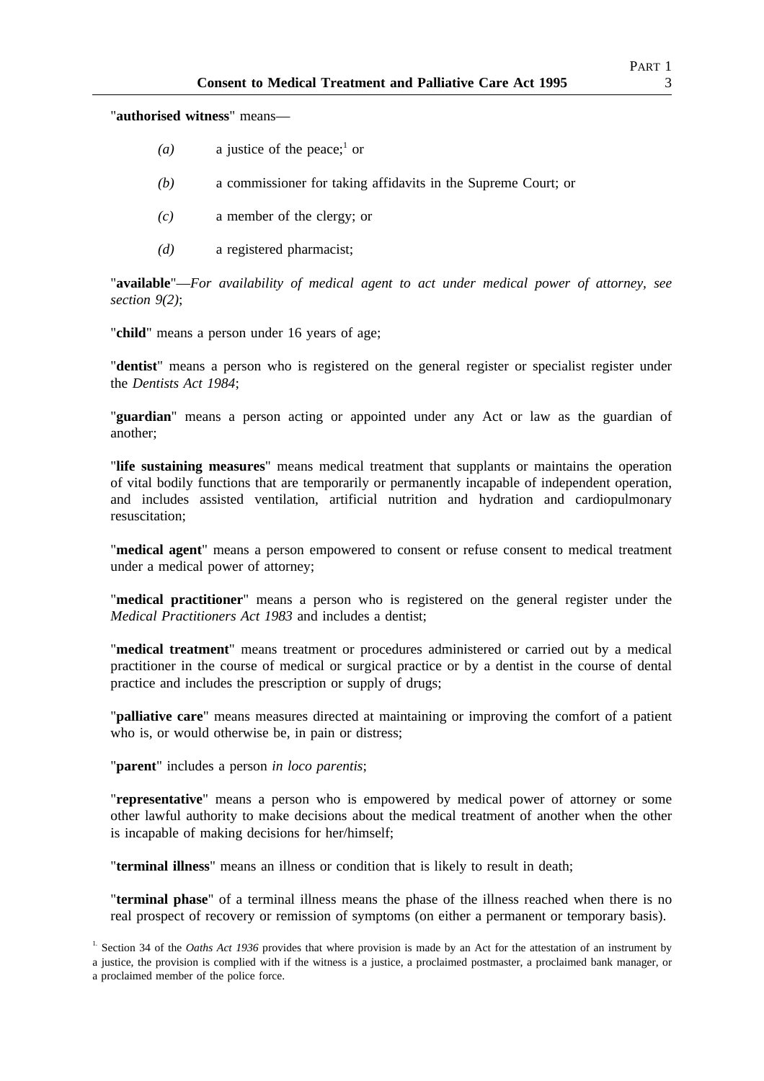"**authorised witness**" means—

- *(a)* a justice of the peace;<sup>1</sup> or
- *(b)* a commissioner for taking affidavits in the Supreme Court; or
- *(c)* a member of the clergy; or
- *(d)* a registered pharmacist;

"**available**"—*For availability of medical agent to act under medical power of attorney, see section 9(2)*;

"**child**" means a person under 16 years of age;

"**dentist**" means a person who is registered on the general register or specialist register under the *Dentists Act 1984*;

"**guardian**" means a person acting or appointed under any Act or law as the guardian of another;

"**life sustaining measures**" means medical treatment that supplants or maintains the operation of vital bodily functions that are temporarily or permanently incapable of independent operation, and includes assisted ventilation, artificial nutrition and hydration and cardiopulmonary resuscitation;

"**medical agent**" means a person empowered to consent or refuse consent to medical treatment under a medical power of attorney;

"**medical practitioner**" means a person who is registered on the general register under the *Medical Practitioners Act 1983* and includes a dentist;

"**medical treatment**" means treatment or procedures administered or carried out by a medical practitioner in the course of medical or surgical practice or by a dentist in the course of dental practice and includes the prescription or supply of drugs;

"**palliative care**" means measures directed at maintaining or improving the comfort of a patient who is, or would otherwise be, in pain or distress;

"**parent**" includes a person *in loco parentis*;

"**representative**" means a person who is empowered by medical power of attorney or some other lawful authority to make decisions about the medical treatment of another when the other is incapable of making decisions for her/himself;

"**terminal illness**" means an illness or condition that is likely to result in death;

"**terminal phase**" of a terminal illness means the phase of the illness reached when there is no real prospect of recovery or remission of symptoms (on either a permanent or temporary basis).

<sup>1</sup>. Section 34 of the *Oaths Act 1936* provides that where provision is made by an Act for the attestation of an instrument by a justice, the provision is complied with if the witness is a justice, a proclaimed postmaster, a proclaimed bank manager, or a proclaimed member of the police force.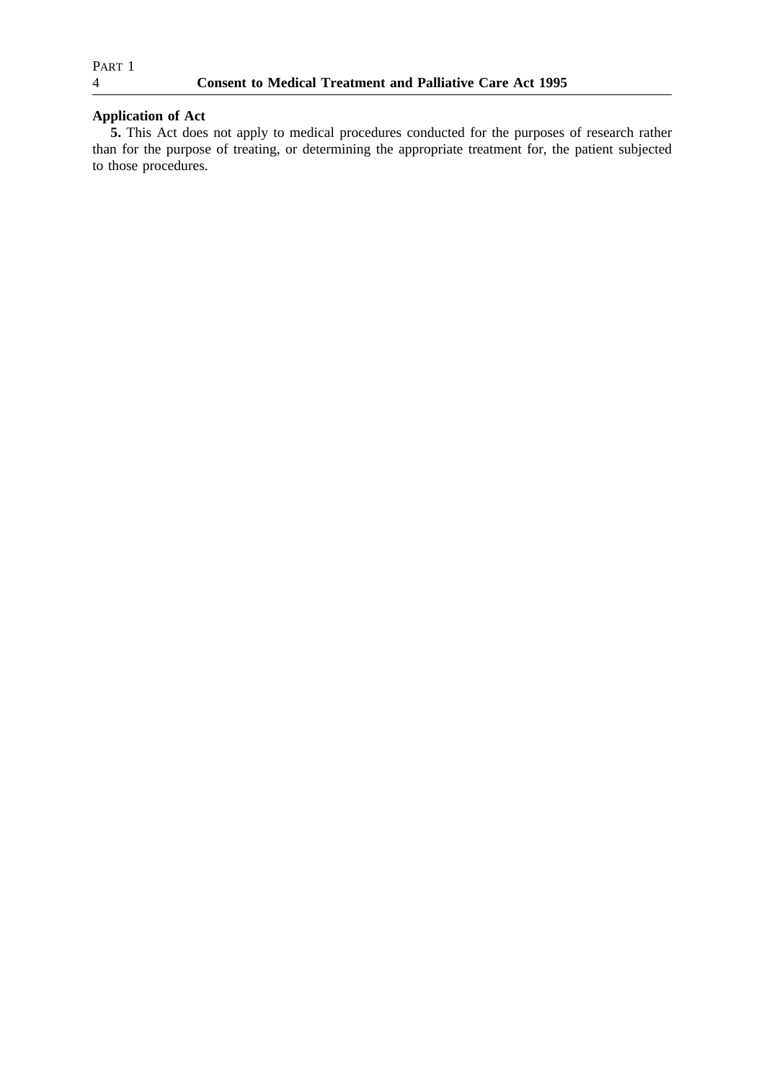# **Application of Act**

**5.** This Act does not apply to medical procedures conducted for the purposes of research rather than for the purpose of treating, or determining the appropriate treatment for, the patient subjected to those procedures.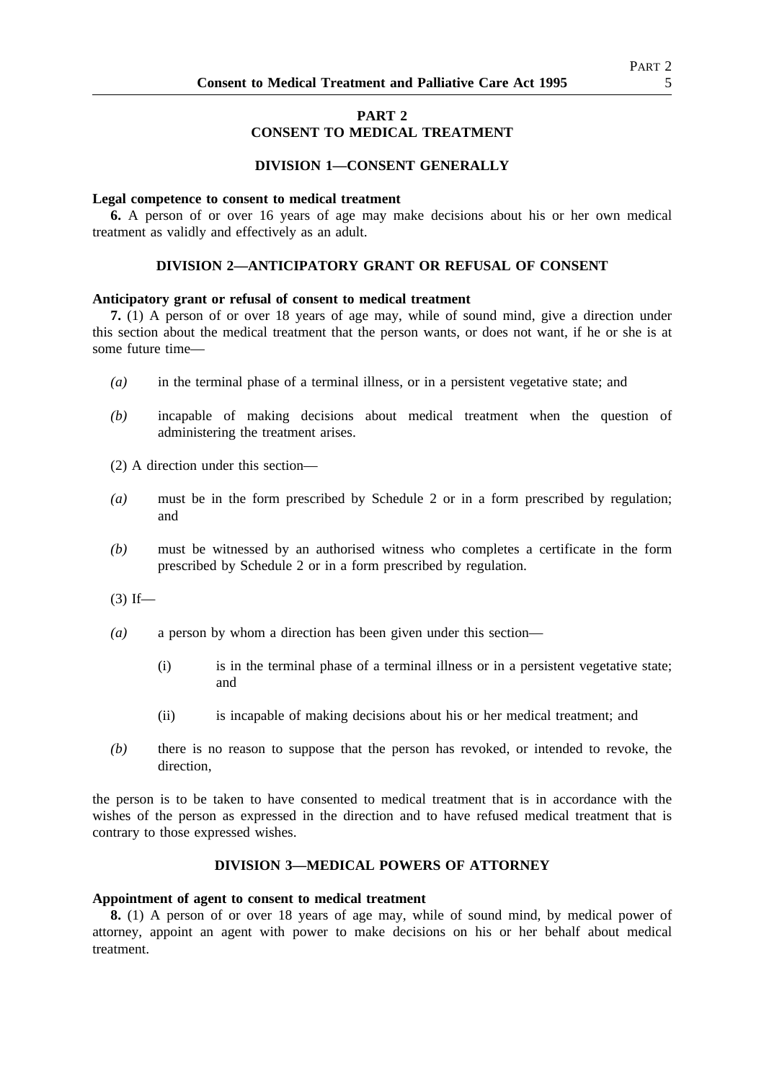# **PART 2 CONSENT TO MEDICAL TREATMENT**

## **DIVISION 1—CONSENT GENERALLY**

#### **Legal competence to consent to medical treatment**

**6.** A person of or over 16 years of age may make decisions about his or her own medical treatment as validly and effectively as an adult.

### **DIVISION 2—ANTICIPATORY GRANT OR REFUSAL OF CONSENT**

#### **Anticipatory grant or refusal of consent to medical treatment**

**7.** (1) A person of or over 18 years of age may, while of sound mind, give a direction under this section about the medical treatment that the person wants, or does not want, if he or she is at some future time—

- *(a)* in the terminal phase of a terminal illness, or in a persistent vegetative state; and
- *(b)* incapable of making decisions about medical treatment when the question of administering the treatment arises.
- (2) A direction under this section—
- *(a)* must be in the form prescribed by Schedule 2 or in a form prescribed by regulation; and
- *(b)* must be witnessed by an authorised witness who completes a certificate in the form prescribed by Schedule 2 or in a form prescribed by regulation.

 $(3)$  If—

- *(a)* a person by whom a direction has been given under this section—
	- (i) is in the terminal phase of a terminal illness or in a persistent vegetative state; and
	- (ii) is incapable of making decisions about his or her medical treatment; and
- *(b)* there is no reason to suppose that the person has revoked, or intended to revoke, the direction,

the person is to be taken to have consented to medical treatment that is in accordance with the wishes of the person as expressed in the direction and to have refused medical treatment that is contrary to those expressed wishes.

### **DIVISION 3—MEDICAL POWERS OF ATTORNEY**

#### **Appointment of agent to consent to medical treatment**

**8.** (1) A person of or over 18 years of age may, while of sound mind, by medical power of attorney, appoint an agent with power to make decisions on his or her behalf about medical treatment.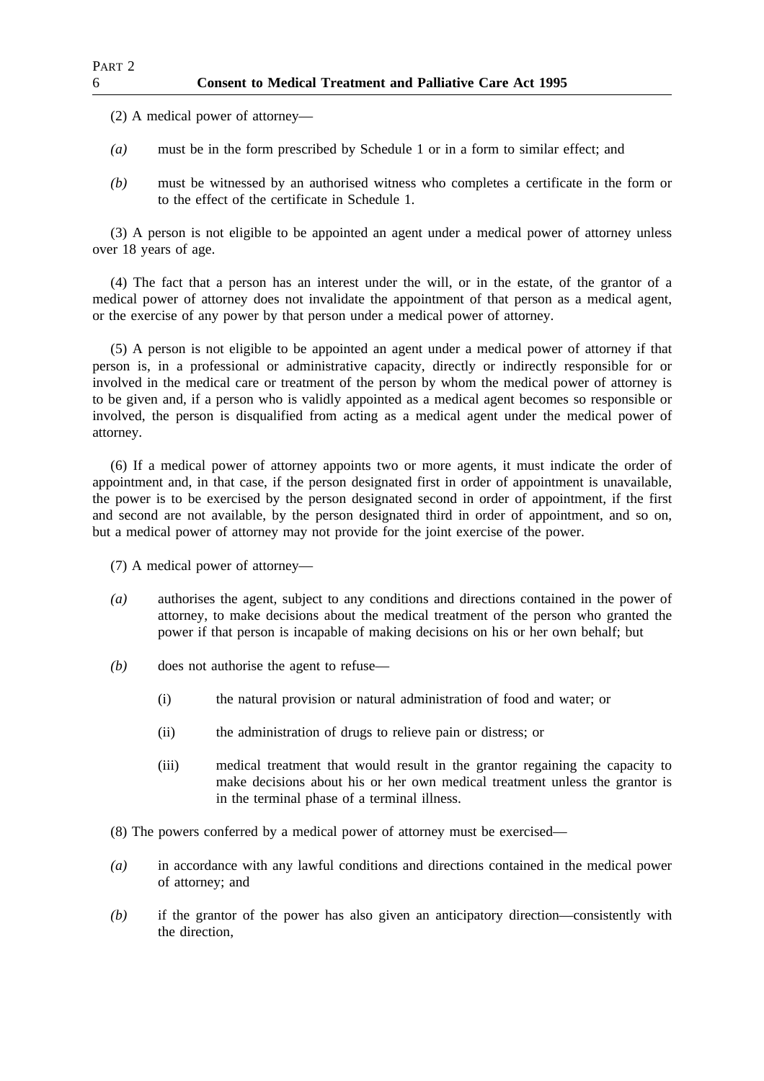(2) A medical power of attorney—

- *(a)* must be in the form prescribed by Schedule 1 or in a form to similar effect; and
- *(b)* must be witnessed by an authorised witness who completes a certificate in the form or to the effect of the certificate in Schedule 1.

(3) A person is not eligible to be appointed an agent under a medical power of attorney unless over 18 years of age.

(4) The fact that a person has an interest under the will, or in the estate, of the grantor of a medical power of attorney does not invalidate the appointment of that person as a medical agent, or the exercise of any power by that person under a medical power of attorney.

(5) A person is not eligible to be appointed an agent under a medical power of attorney if that person is, in a professional or administrative capacity, directly or indirectly responsible for or involved in the medical care or treatment of the person by whom the medical power of attorney is to be given and, if a person who is validly appointed as a medical agent becomes so responsible or involved, the person is disqualified from acting as a medical agent under the medical power of attorney.

(6) If a medical power of attorney appoints two or more agents, it must indicate the order of appointment and, in that case, if the person designated first in order of appointment is unavailable, the power is to be exercised by the person designated second in order of appointment, if the first and second are not available, by the person designated third in order of appointment, and so on, but a medical power of attorney may not provide for the joint exercise of the power.

(7) A medical power of attorney—

- *(a)* authorises the agent, subject to any conditions and directions contained in the power of attorney, to make decisions about the medical treatment of the person who granted the power if that person is incapable of making decisions on his or her own behalf; but
- *(b)* does not authorise the agent to refuse—
	- (i) the natural provision or natural administration of food and water; or
	- (ii) the administration of drugs to relieve pain or distress; or
	- (iii) medical treatment that would result in the grantor regaining the capacity to make decisions about his or her own medical treatment unless the grantor is in the terminal phase of a terminal illness.
- (8) The powers conferred by a medical power of attorney must be exercised—
- *(a)* in accordance with any lawful conditions and directions contained in the medical power of attorney; and
- *(b)* if the grantor of the power has also given an anticipatory direction—consistently with the direction,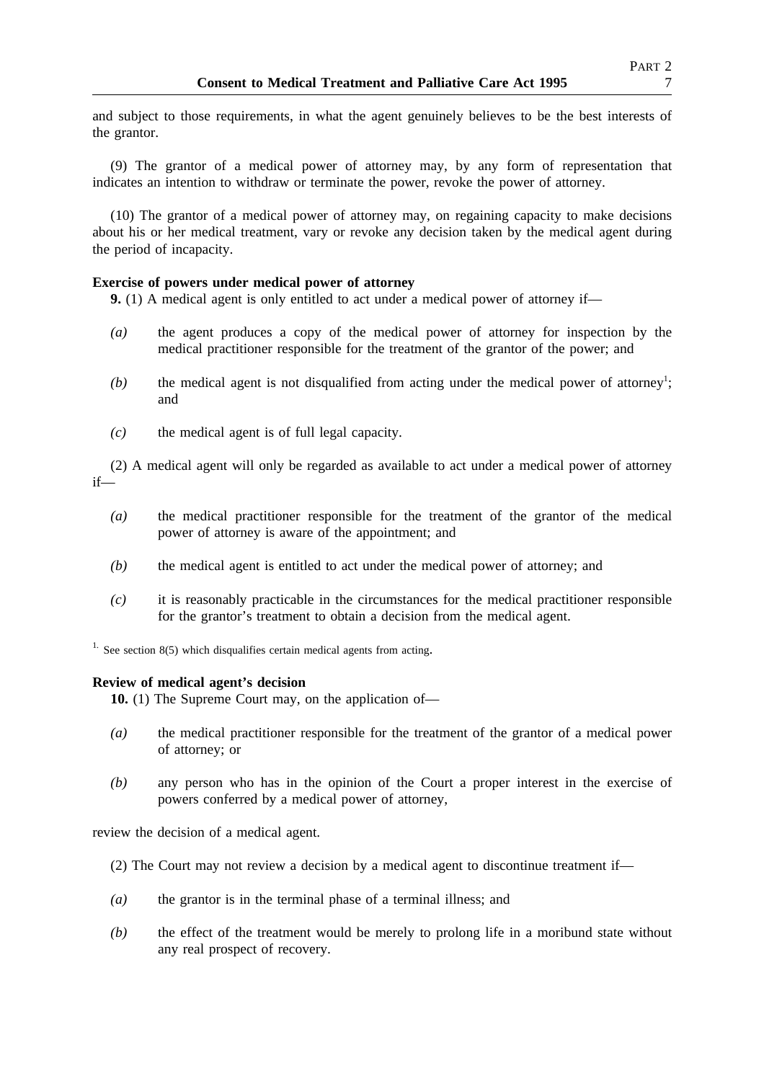and subject to those requirements, in what the agent genuinely believes to be the best interests of the grantor.

(9) The grantor of a medical power of attorney may, by any form of representation that indicates an intention to withdraw or terminate the power, revoke the power of attorney.

(10) The grantor of a medical power of attorney may, on regaining capacity to make decisions about his or her medical treatment, vary or revoke any decision taken by the medical agent during the period of incapacity.

## **Exercise of powers under medical power of attorney**

**9.** (1) A medical agent is only entitled to act under a medical power of attorney if—

- *(a)* the agent produces a copy of the medical power of attorney for inspection by the medical practitioner responsible for the treatment of the grantor of the power; and
- $(b)$  the medical agent is not disqualified from acting under the medical power of attorney<sup>1</sup>; and
- *(c)* the medical agent is of full legal capacity.

(2) A medical agent will only be regarded as available to act under a medical power of attorney if—

- *(a)* the medical practitioner responsible for the treatment of the grantor of the medical power of attorney is aware of the appointment; and
- *(b)* the medical agent is entitled to act under the medical power of attorney; and
- *(c)* it is reasonably practicable in the circumstances for the medical practitioner responsible for the grantor's treatment to obtain a decision from the medical agent.

<sup>1.</sup> See section 8(5) which disqualifies certain medical agents from acting.

## **Review of medical agent's decision**

**10.** (1) The Supreme Court may, on the application of—

- *(a)* the medical practitioner responsible for the treatment of the grantor of a medical power of attorney; or
- *(b)* any person who has in the opinion of the Court a proper interest in the exercise of powers conferred by a medical power of attorney,

review the decision of a medical agent.

- (2) The Court may not review a decision by a medical agent to discontinue treatment if—
- *(a)* the grantor is in the terminal phase of a terminal illness; and
- *(b)* the effect of the treatment would be merely to prolong life in a moribund state without any real prospect of recovery.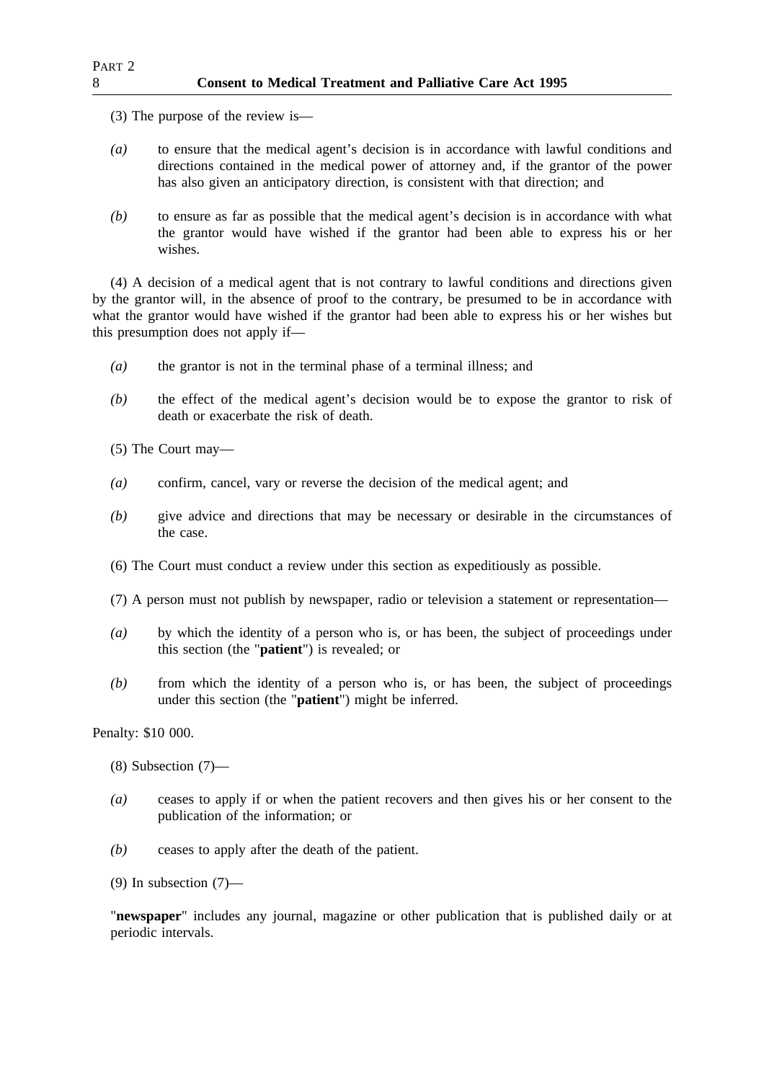(3) The purpose of the review is—

- *(a)* to ensure that the medical agent's decision is in accordance with lawful conditions and directions contained in the medical power of attorney and, if the grantor of the power has also given an anticipatory direction, is consistent with that direction; and
- *(b)* to ensure as far as possible that the medical agent's decision is in accordance with what the grantor would have wished if the grantor had been able to express his or her wishes.

(4) A decision of a medical agent that is not contrary to lawful conditions and directions given by the grantor will, in the absence of proof to the contrary, be presumed to be in accordance with what the grantor would have wished if the grantor had been able to express his or her wishes but this presumption does not apply if—

- *(a)* the grantor is not in the terminal phase of a terminal illness; and
- *(b)* the effect of the medical agent's decision would be to expose the grantor to risk of death or exacerbate the risk of death.

(5) The Court may—

- *(a)* confirm, cancel, vary or reverse the decision of the medical agent; and
- *(b)* give advice and directions that may be necessary or desirable in the circumstances of the case.
- (6) The Court must conduct a review under this section as expeditiously as possible.
- (7) A person must not publish by newspaper, radio or television a statement or representation—
- *(a)* by which the identity of a person who is, or has been, the subject of proceedings under this section (the "**patient**") is revealed; or
- *(b)* from which the identity of a person who is, or has been, the subject of proceedings under this section (the "**patient**") might be inferred.

# Penalty: \$10 000.

- (8) Subsection (7)—
- *(a)* ceases to apply if or when the patient recovers and then gives his or her consent to the publication of the information; or
- *(b)* ceases to apply after the death of the patient.
- (9) In subsection (7)—

"**newspaper**" includes any journal, magazine or other publication that is published daily or at periodic intervals.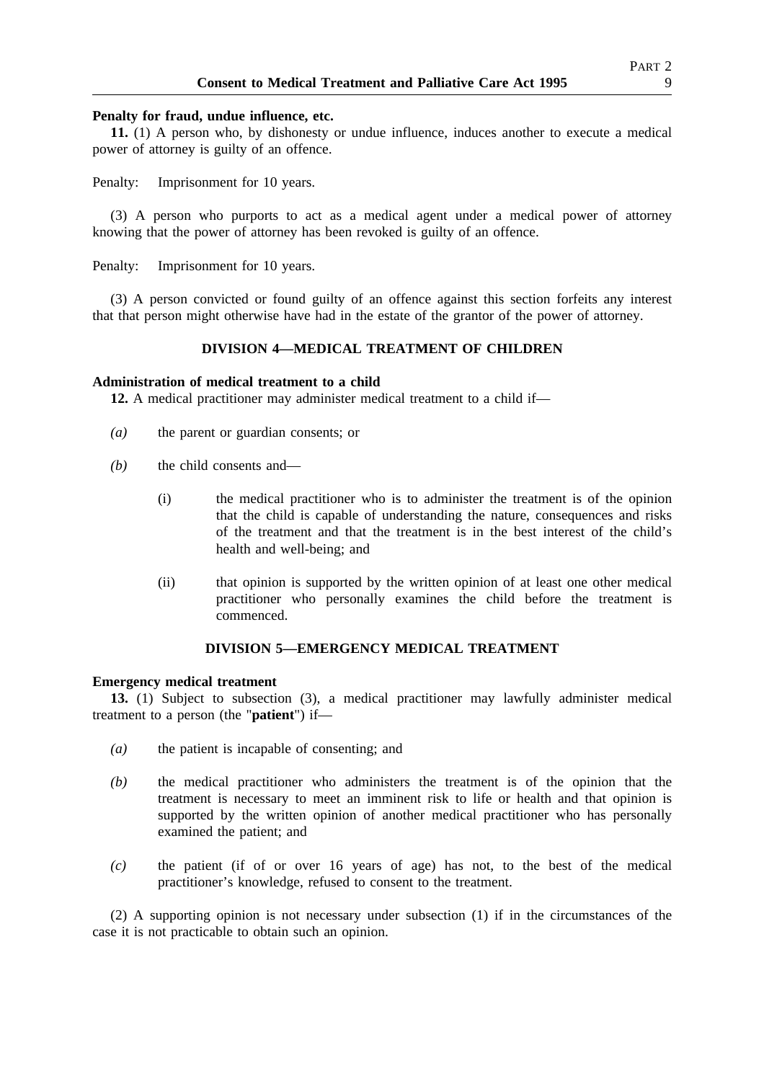#### **Penalty for fraud, undue influence, etc.**

**11.** (1) A person who, by dishonesty or undue influence, induces another to execute a medical power of attorney is guilty of an offence.

Penalty: Imprisonment for 10 years.

(3) A person who purports to act as a medical agent under a medical power of attorney knowing that the power of attorney has been revoked is guilty of an offence.

Penalty: Imprisonment for 10 years.

(3) A person convicted or found guilty of an offence against this section forfeits any interest that that person might otherwise have had in the estate of the grantor of the power of attorney.

# **DIVISION 4—MEDICAL TREATMENT OF CHILDREN**

#### **Administration of medical treatment to a child**

**12.** A medical practitioner may administer medical treatment to a child if—

- *(a)* the parent or guardian consents; or
- *(b)* the child consents and—
	- (i) the medical practitioner who is to administer the treatment is of the opinion that the child is capable of understanding the nature, consequences and risks of the treatment and that the treatment is in the best interest of the child's health and well-being; and
	- (ii) that opinion is supported by the written opinion of at least one other medical practitioner who personally examines the child before the treatment is commenced.

### **DIVISION 5—EMERGENCY MEDICAL TREATMENT**

## **Emergency medical treatment**

**13.** (1) Subject to subsection (3), a medical practitioner may lawfully administer medical treatment to a person (the "**patient**") if—

- *(a)* the patient is incapable of consenting; and
- *(b)* the medical practitioner who administers the treatment is of the opinion that the treatment is necessary to meet an imminent risk to life or health and that opinion is supported by the written opinion of another medical practitioner who has personally examined the patient; and
- *(c)* the patient (if of or over 16 years of age) has not, to the best of the medical practitioner's knowledge, refused to consent to the treatment.

(2) A supporting opinion is not necessary under subsection (1) if in the circumstances of the case it is not practicable to obtain such an opinion.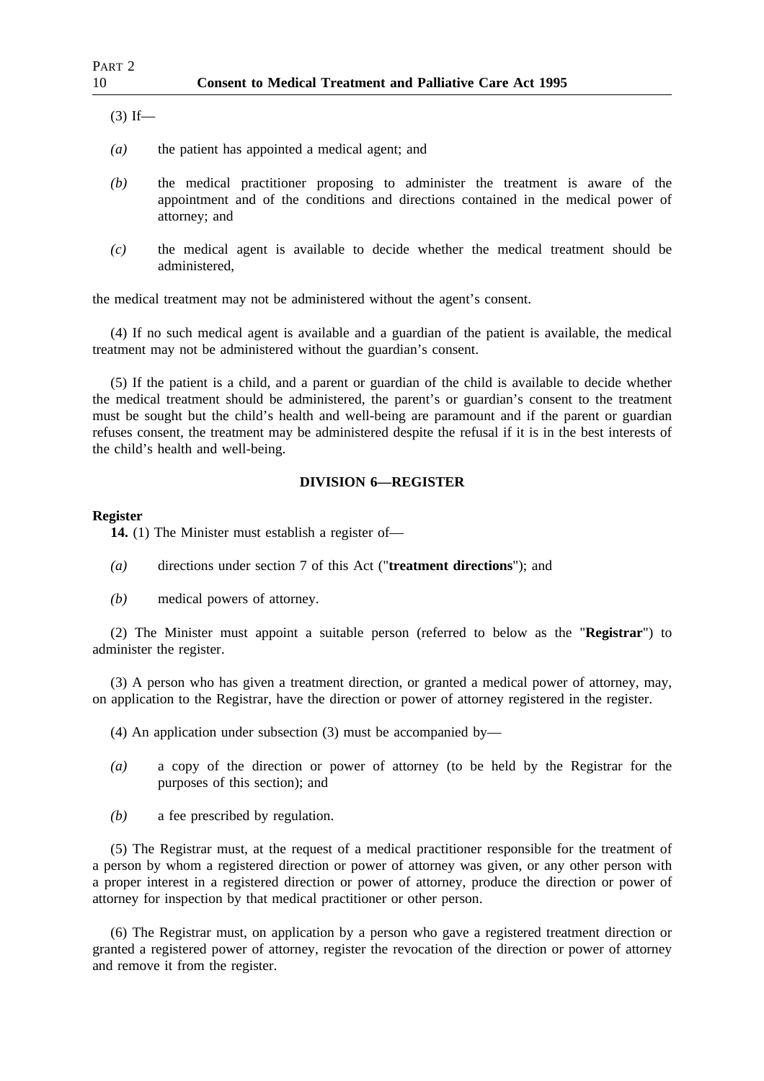$(3)$  If—

- *(a)* the patient has appointed a medical agent; and
- *(b)* the medical practitioner proposing to administer the treatment is aware of the appointment and of the conditions and directions contained in the medical power of attorney; and
- *(c)* the medical agent is available to decide whether the medical treatment should be administered,

the medical treatment may not be administered without the agent's consent.

(4) If no such medical agent is available and a guardian of the patient is available, the medical treatment may not be administered without the guardian's consent.

(5) If the patient is a child, and a parent or guardian of the child is available to decide whether the medical treatment should be administered, the parent's or guardian's consent to the treatment must be sought but the child's health and well-being are paramount and if the parent or guardian refuses consent, the treatment may be administered despite the refusal if it is in the best interests of the child's health and well-being.

## **DIVISION 6—REGISTER**

### **Register**

**14.** (1) The Minister must establish a register of—

- *(a)* directions under section 7 of this Act ("**treatment directions**"); and
- *(b)* medical powers of attorney.

(2) The Minister must appoint a suitable person (referred to below as the "**Registrar**") to administer the register.

(3) A person who has given a treatment direction, or granted a medical power of attorney, may, on application to the Registrar, have the direction or power of attorney registered in the register.

- (4) An application under subsection (3) must be accompanied by—
- *(a)* a copy of the direction or power of attorney (to be held by the Registrar for the purposes of this section); and
- *(b)* a fee prescribed by regulation.

(5) The Registrar must, at the request of a medical practitioner responsible for the treatment of a person by whom a registered direction or power of attorney was given, or any other person with a proper interest in a registered direction or power of attorney, produce the direction or power of attorney for inspection by that medical practitioner or other person.

(6) The Registrar must, on application by a person who gave a registered treatment direction or granted a registered power of attorney, register the revocation of the direction or power of attorney and remove it from the register.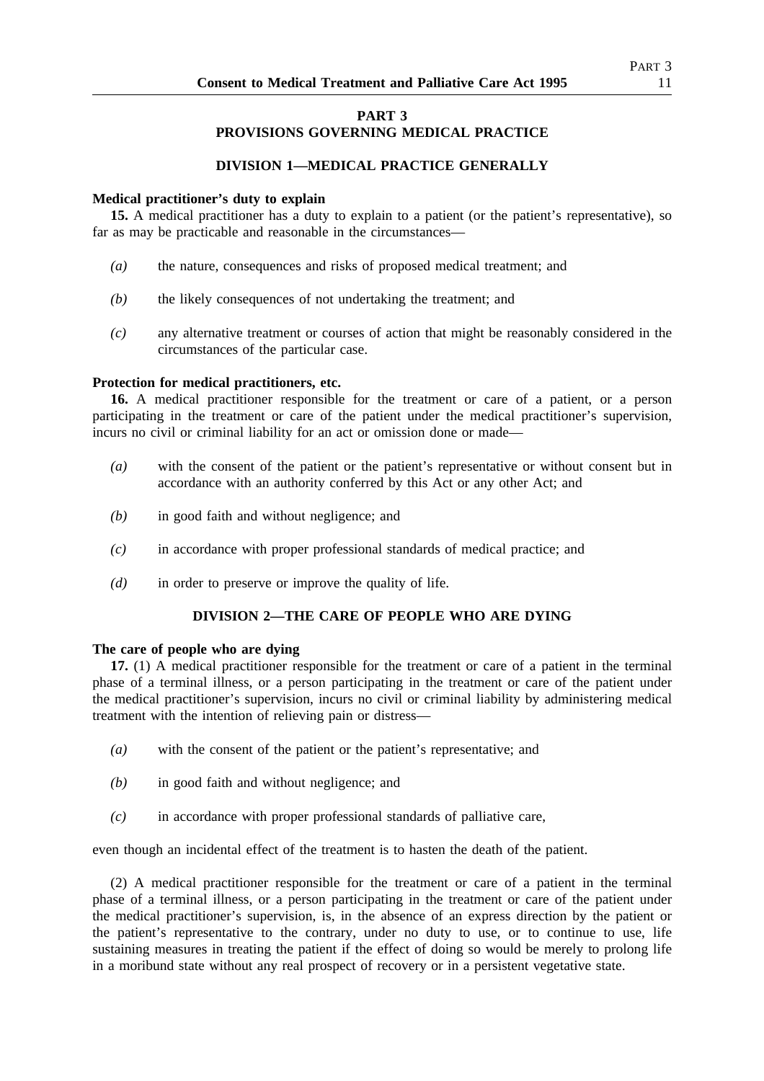# **PART 3 PROVISIONS GOVERNING MEDICAL PRACTICE**

# **DIVISION 1—MEDICAL PRACTICE GENERALLY**

## **Medical practitioner's duty to explain**

15. A medical practitioner has a duty to explain to a patient (or the patient's representative), so far as may be practicable and reasonable in the circumstances—

- *(a)* the nature, consequences and risks of proposed medical treatment; and
- *(b)* the likely consequences of not undertaking the treatment; and
- *(c)* any alternative treatment or courses of action that might be reasonably considered in the circumstances of the particular case.

## **Protection for medical practitioners, etc.**

**16.** A medical practitioner responsible for the treatment or care of a patient, or a person participating in the treatment or care of the patient under the medical practitioner's supervision, incurs no civil or criminal liability for an act or omission done or made—

- *(a)* with the consent of the patient or the patient's representative or without consent but in accordance with an authority conferred by this Act or any other Act; and
- *(b)* in good faith and without negligence; and
- *(c)* in accordance with proper professional standards of medical practice; and
- *(d)* in order to preserve or improve the quality of life.

## **DIVISION 2—THE CARE OF PEOPLE WHO ARE DYING**

### **The care of people who are dying**

**17.** (1) A medical practitioner responsible for the treatment or care of a patient in the terminal phase of a terminal illness, or a person participating in the treatment or care of the patient under the medical practitioner's supervision, incurs no civil or criminal liability by administering medical treatment with the intention of relieving pain or distress—

- *(a)* with the consent of the patient or the patient's representative; and
- *(b)* in good faith and without negligence; and
- *(c)* in accordance with proper professional standards of palliative care,

even though an incidental effect of the treatment is to hasten the death of the patient.

(2) A medical practitioner responsible for the treatment or care of a patient in the terminal phase of a terminal illness, or a person participating in the treatment or care of the patient under the medical practitioner's supervision, is, in the absence of an express direction by the patient or the patient's representative to the contrary, under no duty to use, or to continue to use, life sustaining measures in treating the patient if the effect of doing so would be merely to prolong life in a moribund state without any real prospect of recovery or in a persistent vegetative state.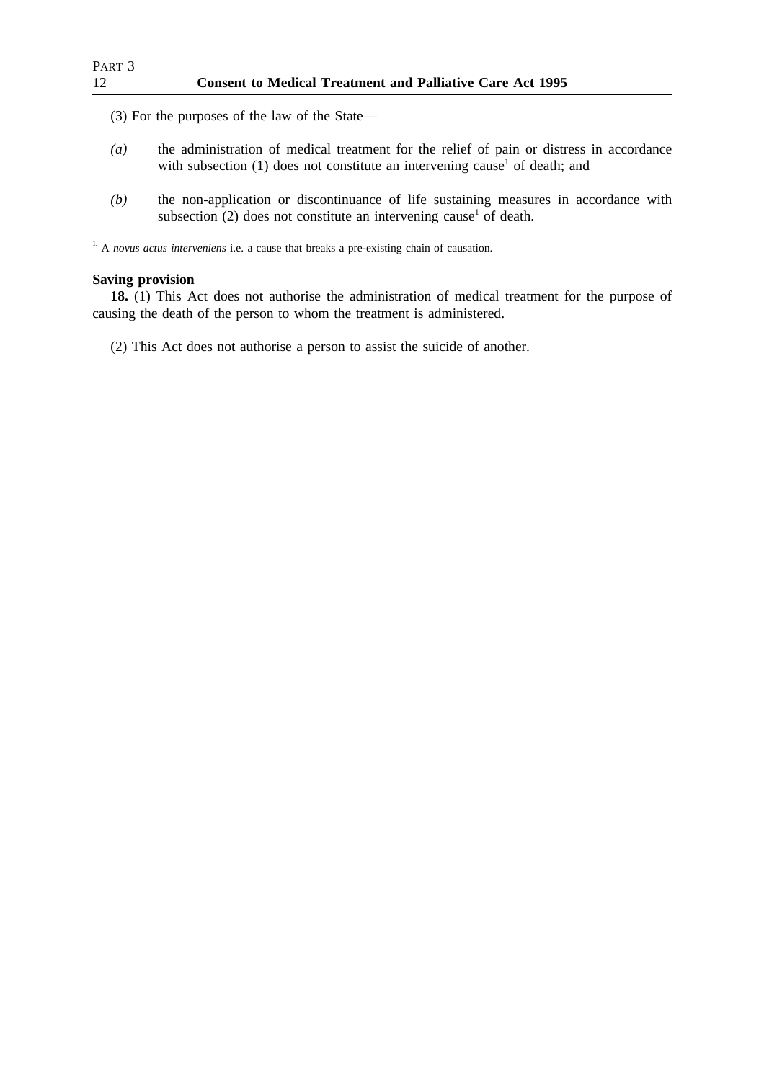(3) For the purposes of the law of the State—

- *(a)* the administration of medical treatment for the relief of pain or distress in accordance with subsection (1) does not constitute an intervening cause<sup>1</sup> of death; and
- *(b)* the non-application or discontinuance of life sustaining measures in accordance with subsection  $(2)$  does not constitute an intervening cause<sup>1</sup> of death.

<sup>1.</sup> A *novus actus interveniens* i.e. a cause that breaks a pre-existing chain of causation.

## **Saving provision**

**18.** (1) This Act does not authorise the administration of medical treatment for the purpose of causing the death of the person to whom the treatment is administered.

(2) This Act does not authorise a person to assist the suicide of another.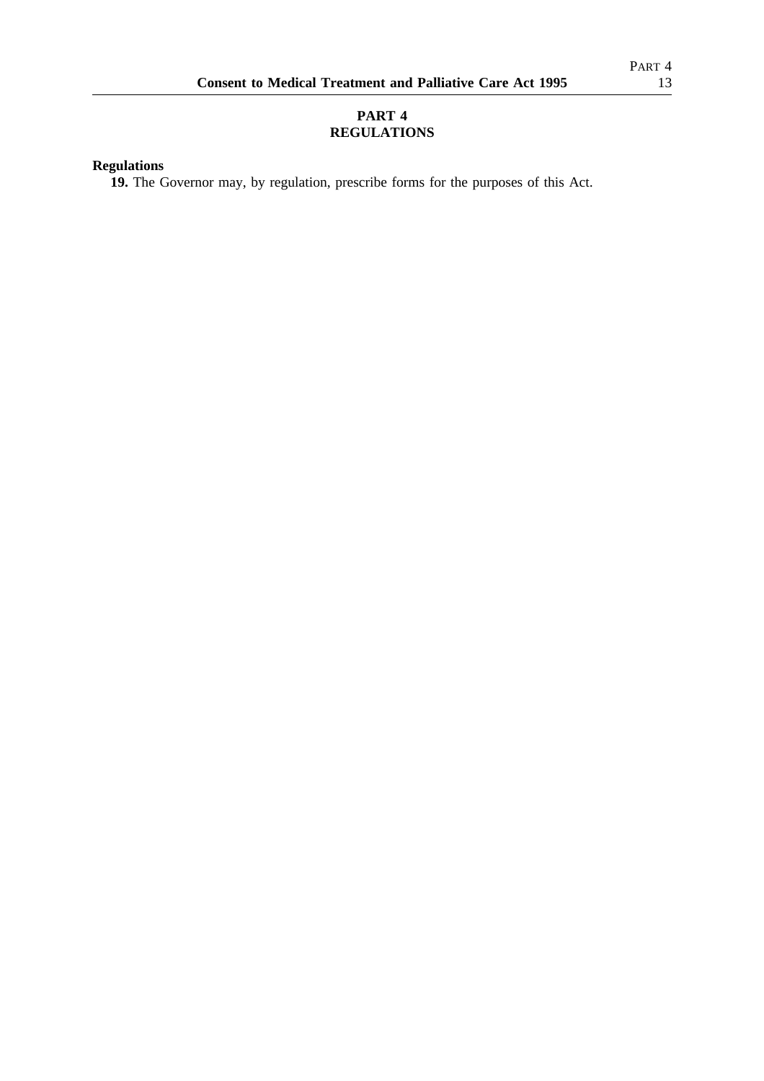# **PART 4 REGULATIONS**

# **Regulations**

**19.** The Governor may, by regulation, prescribe forms for the purposes of this Act.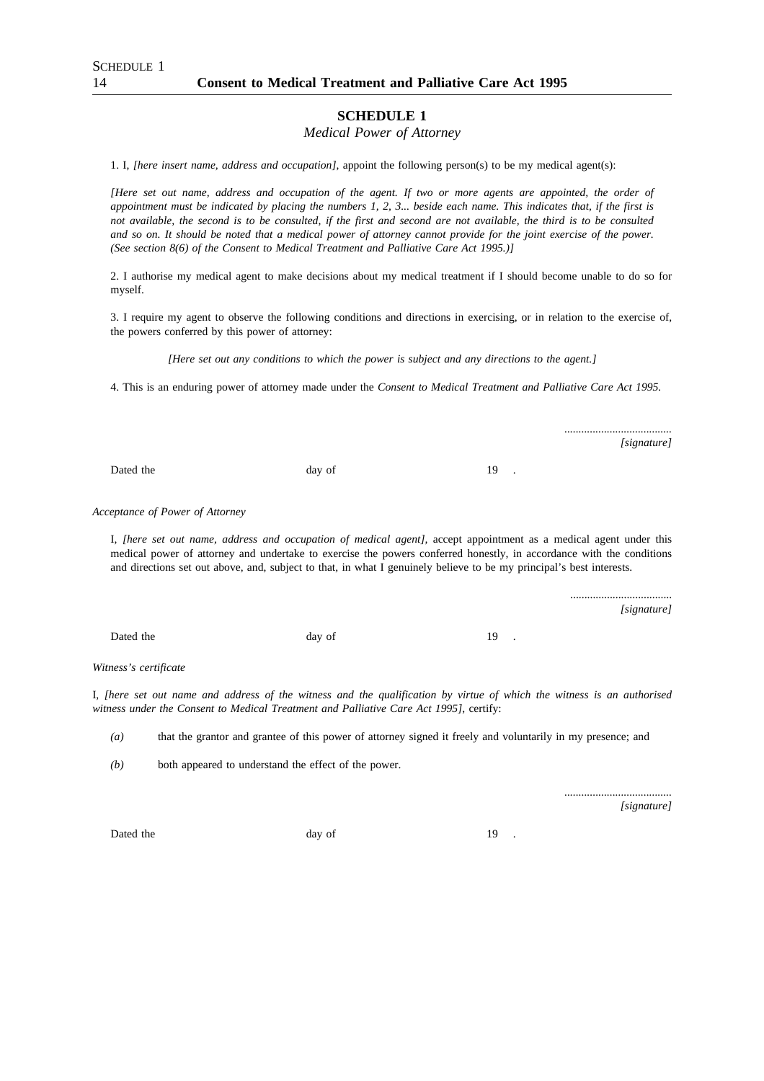## *Medical Power of Attorney*

1. I, *[here insert name, address and occupation]*, appoint the following person(s) to be my medical agent(s):

*[Here set out name, address and occupation of the agent. If two or more agents are appointed, the order of appointment must be indicated by placing the numbers 1, 2, 3... beside each name. This indicates that, if the first is not available, the second is to be consulted, if the first and second are not available, the third is to be consulted and so on. It should be noted that a medical power of attorney cannot provide for the joint exercise of the power. (See section 8(6) of the Consent to Medical Treatment and Palliative Care Act 1995.)]*

2. I authorise my medical agent to make decisions about my medical treatment if I should become unable to do so for myself.

3. I require my agent to observe the following conditions and directions in exercising, or in relation to the exercise of, the powers conferred by this power of attorney:

*[Here set out any conditions to which the power is subject and any directions to the agent.]*

4. This is an enduring power of attorney made under the *Consent to Medical Treatment and Palliative Care Act 1995.*

Dated the day of 19 .

*Acceptance of Power of Attorney*

I, *[here set out name, address and occupation of medical agent],* accept appointment as a medical agent under this medical power of attorney and undertake to exercise the powers conferred honestly, in accordance with the conditions and directions set out above, and, subject to that, in what I genuinely believe to be my principal's best interests.

Dated the day of 19 .

*Witness's certificate*

I, *[here set out name and address of the witness and the qualification by virtue of which the witness is an authorised witness under the Consent to Medical Treatment and Palliative Care Act 1995]*, certify:

*(a)* that the grantor and grantee of this power of attorney signed it freely and voluntarily in my presence; and

*(b)* both appeared to understand the effect of the power.

*[signature]*

*......................................*

*......................................*

....................................

*[signature]*

*[signature]*

Dated the day of 19 .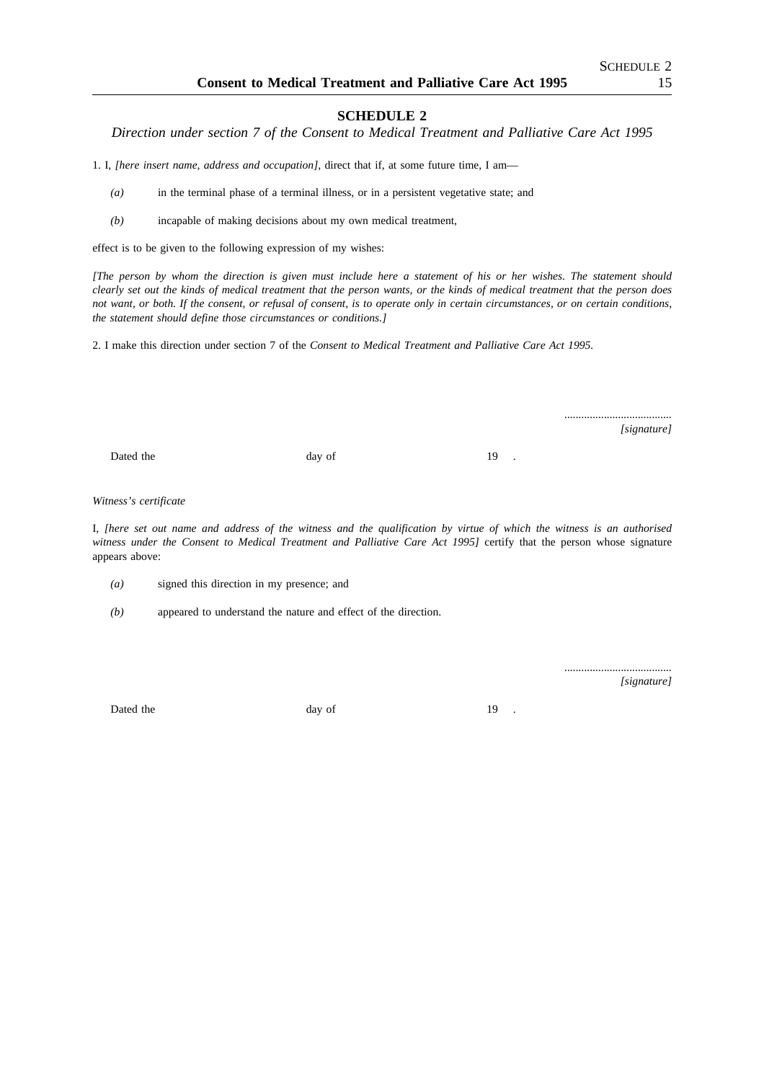*Direction under section 7 of the Consent to Medical Treatment and Palliative Care Act 1995*

1. I, *[here insert name, address and occupation],* direct that if, at some future time, I am—

- *(a)* in the terminal phase of a terminal illness, or in a persistent vegetative state; and
- *(b)* incapable of making decisions about my own medical treatment,

effect is to be given to the following expression of my wishes:

*[The person by whom the direction is given must include here a statement of his or her wishes. The statement should clearly set out the kinds of medical treatment that the person wants, or the kinds of medical treatment that the person does not want, or both. If the consent, or refusal of consent, is to operate only in certain circumstances, or on certain conditions, the statement should define those circumstances or conditions.]*

2. I make this direction under section 7 of the *Consent to Medical Treatment and Palliative Care Act 1995.*

*...................................... [signature]*

Dated the day of 19 .

*Witness's certificate*

I, *[here set out name and address of the witness and the qualification by virtue of which the witness is an authorised witness under the Consent to Medical Treatment and Palliative Care Act 1995]* certify that the person whose signature appears above:

- *(a)* signed this direction in my presence; and
- *(b)* appeared to understand the nature and effect of the direction.

*[signature]*

*......................................*

Dated the day of 19 .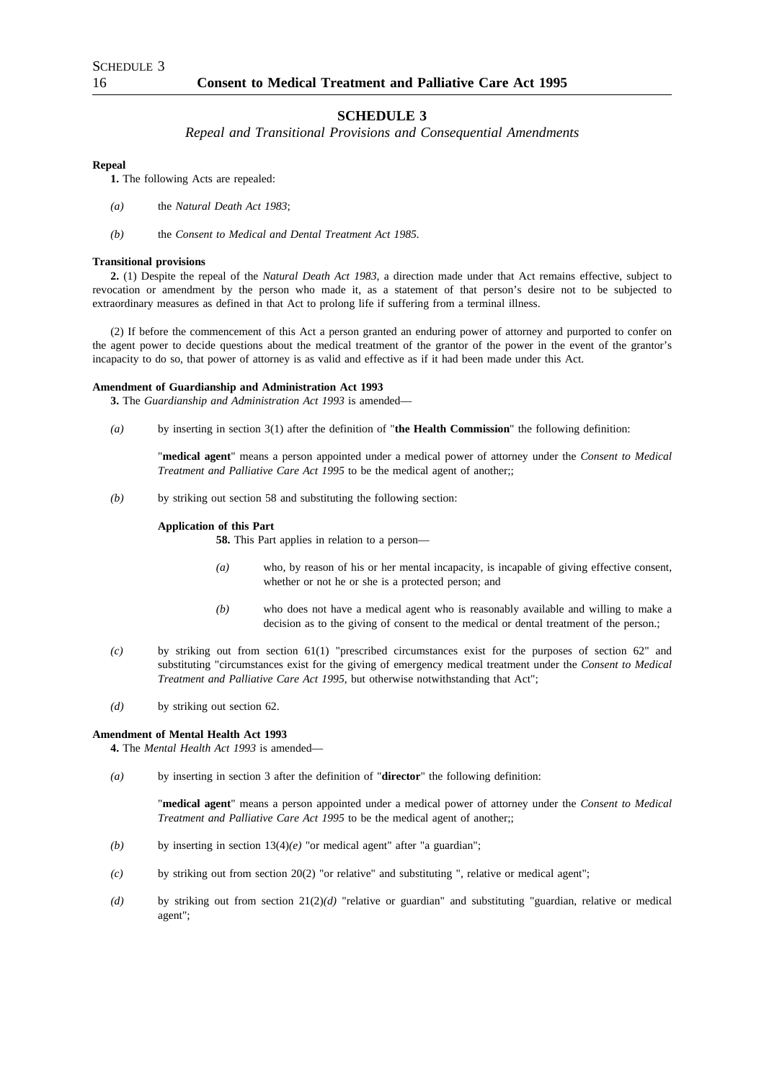#### *Repeal and Transitional Provisions and Consequential Amendments*

#### **Repeal**

**1.** The following Acts are repealed:

- *(a)* the *Natural Death Act 1983*;
- *(b)* the *Consent to Medical and Dental Treatment Act 1985.*

#### **Transitional provisions**

**2.** (1) Despite the repeal of the *Natural Death Act 1983*, a direction made under that Act remains effective, subject to revocation or amendment by the person who made it, as a statement of that person's desire not to be subjected to extraordinary measures as defined in that Act to prolong life if suffering from a terminal illness.

(2) If before the commencement of this Act a person granted an enduring power of attorney and purported to confer on the agent power to decide questions about the medical treatment of the grantor of the power in the event of the grantor's incapacity to do so, that power of attorney is as valid and effective as if it had been made under this Act.

#### **Amendment of Guardianship and Administration Act 1993**

**3.** The *Guardianship and Administration Act 1993* is amended—

*(a)* by inserting in section 3(1) after the definition of "**the Health Commission**" the following definition:

"**medical agent**" means a person appointed under a medical power of attorney under the *Consent to Medical Treatment and Palliative Care Act 1995* to be the medical agent of another;;

*(b)* by striking out section 58 and substituting the following section:

#### **Application of this Part**

**58.** This Part applies in relation to a person—

- *(a)* who, by reason of his or her mental incapacity, is incapable of giving effective consent, whether or not he or she is a protected person; and
- *(b)* who does not have a medical agent who is reasonably available and willing to make a decision as to the giving of consent to the medical or dental treatment of the person.;
- *(c)* by striking out from section 61(1) "prescribed circumstances exist for the purposes of section 62" and substituting "circumstances exist for the giving of emergency medical treatment under the *Consent to Medical Treatment and Palliative Care Act 1995*, but otherwise notwithstanding that Act";
- *(d)* by striking out section 62.

#### **Amendment of Mental Health Act 1993**

**4.** The *Mental Health Act 1993* is amended—

*(a)* by inserting in section 3 after the definition of "**director**" the following definition:

"**medical agent**" means a person appointed under a medical power of attorney under the *Consent to Medical Treatment and Palliative Care Act 1995* to be the medical agent of another;;

- *(b)* by inserting in section  $13(4)(e)$  "or medical agent" after "a guardian";
- *(c)* by striking out from section 20(2) "or relative" and substituting ", relative or medical agent";
- *(d)* by striking out from section 21(2)*(d)* "relative or guardian" and substituting "guardian, relative or medical agent";